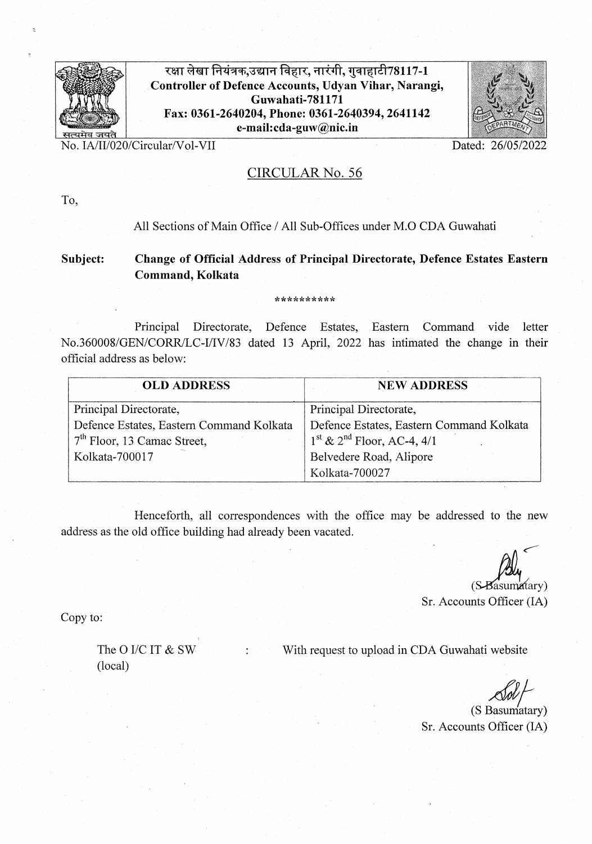

रक्षा लेखा नियंत्रक,उद्यान विहार, नारंगी, गुवाहाटी78117-1 Controller of Defence Accounts, Udyan Vihar, Narangi,<br>
Guwahati-781171<br>
IIT COCO OCCOUNTED ON 20001 2011112 Fax: 0361-2640204, Phone: 0361-2640394, 2641142 e-mail:cda-guvnic.in -\_\_\_\_\_\_\_\_\_\_\_\_\_\_\_\_\_\_\_\_\_\_\_\_\_\_\_\_\_ . . . **...** > :



No. IA/II/020/Circular/Vol-VII . Dated: 26/05/2022

## CIRCULAR No. *56*

To,

#### All Sections of Main Office / All Sub-Offices under M.O CDA Guwahati

#### Subject: Change of Official Address of Principal Directorate, Defence Estates Eastern Command, Kolkata

\*\*\*\*\*\*\*\*\*\*

Principal Directorate, Defence Estates, Eastern Command vide letter No.360008/GEN/CORR/LC-I/IV/83 dated 13 April, 2022 has intimated the change in their official address as below:

| <b>OLD ADDRESS</b>                       | <b>NEW ADDRESS</b>                       |
|------------------------------------------|------------------------------------------|
| Principal Directorate,                   | Principal Directorate,                   |
| Defence Estates, Eastern Command Kolkata | Defence Estates, Eastern Command Kolkata |
| $7th$ Floor, 13 Camac Street,            | $1st$ & $2nd$ Floor, AC-4, 4/1           |
| Kolkata-700017                           | Belvedere Road, Alipore                  |
|                                          | Kolkata-700027                           |

Henceforth, all correspondences with the office may be addressed to the new address as the old office building had already been vacated

Sr. Accounts Officer (IA)

Copy to:

(local)

The O I/C IT & SW : With request to upload in CDA Guwahati website

(S Basumatary) Sr. Accounts Officer (IA)